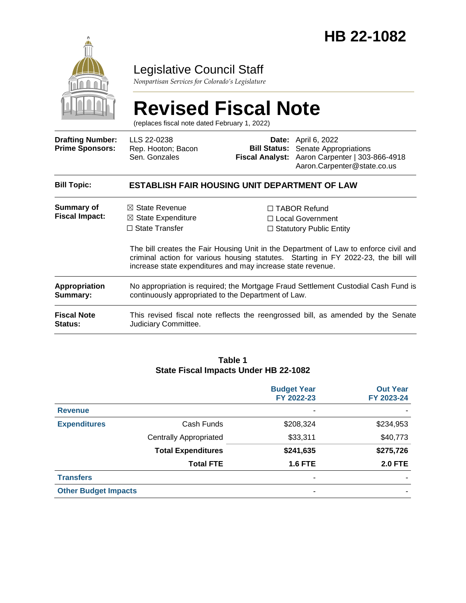

## Legislative Council Staff

*Nonpartisan Services for Colorado's Legislature*

# **Revised Fiscal Note**

(replaces fiscal note dated February 1, 2022)

| <b>Drafting Number:</b><br><b>Prime Sponsors:</b> | LLS 22-0238<br>Rep. Hooton; Bacon<br>Sen. Gonzales                                                                                                                                                                                         |  | <b>Date:</b> April 6, 2022<br><b>Bill Status:</b> Senate Appropriations<br>Fiscal Analyst: Aaron Carpenter   303-866-4918<br>Aaron.Carpenter@state.co.us |  |
|---------------------------------------------------|--------------------------------------------------------------------------------------------------------------------------------------------------------------------------------------------------------------------------------------------|--|----------------------------------------------------------------------------------------------------------------------------------------------------------|--|
| <b>Bill Topic:</b>                                | <b>ESTABLISH FAIR HOUSING UNIT DEPARTMENT OF LAW</b>                                                                                                                                                                                       |  |                                                                                                                                                          |  |
| Summary of<br><b>Fiscal Impact:</b>               | $\boxtimes$ State Revenue<br>$\boxtimes$ State Expenditure<br>$\Box$ State Transfer                                                                                                                                                        |  | $\Box$ TABOR Refund<br>□ Local Government<br>$\Box$ Statutory Public Entity                                                                              |  |
|                                                   | The bill creates the Fair Housing Unit in the Department of Law to enforce civil and<br>criminal action for various housing statutes. Starting in FY 2022-23, the bill will<br>increase state expenditures and may increase state revenue. |  |                                                                                                                                                          |  |
| <b>Appropriation</b><br>Summary:                  | No appropriation is required; the Mortgage Fraud Settlement Custodial Cash Fund is<br>continuously appropriated to the Department of Law.                                                                                                  |  |                                                                                                                                                          |  |
| <b>Fiscal Note</b><br><b>Status:</b>              | This revised fiscal note reflects the reengrossed bill, as amended by the Senate<br>Judiciary Committee.                                                                                                                                   |  |                                                                                                                                                          |  |

#### **Table 1 State Fiscal Impacts Under HB 22-1082**

|                             |                               | <b>Budget Year</b><br>FY 2022-23 | <b>Out Year</b><br>FY 2023-24 |
|-----------------------------|-------------------------------|----------------------------------|-------------------------------|
| <b>Revenue</b>              |                               | ۰                                |                               |
| <b>Expenditures</b>         | Cash Funds                    | \$208,324                        | \$234,953                     |
|                             | <b>Centrally Appropriated</b> | \$33,311                         | \$40,773                      |
|                             | <b>Total Expenditures</b>     | \$241,635                        | \$275,726                     |
|                             | <b>Total FTE</b>              | <b>1.6 FTE</b>                   | <b>2.0 FTE</b>                |
| <b>Transfers</b>            |                               | ۰                                |                               |
| <b>Other Budget Impacts</b> |                               | ٠                                |                               |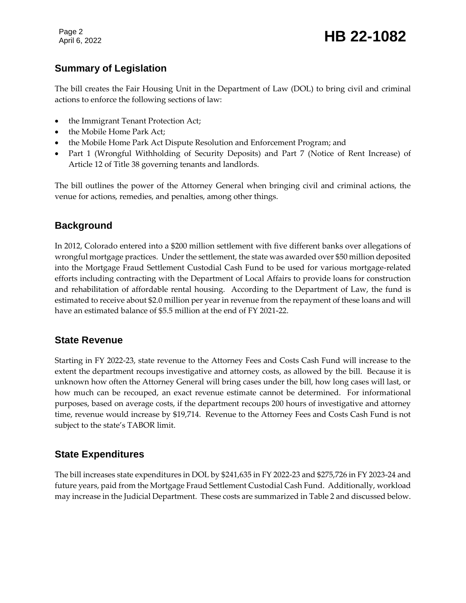Page 2

## **Summary of Legislation**

The bill creates the Fair Housing Unit in the Department of Law (DOL) to bring civil and criminal actions to enforce the following sections of law:

- the Immigrant Tenant Protection Act;
- the Mobile Home Park Act;
- the Mobile Home Park Act Dispute Resolution and Enforcement Program; and
- Part 1 (Wrongful Withholding of Security Deposits) and Part 7 (Notice of Rent Increase) of Article 12 of Title 38 governing tenants and landlords.

The bill outlines the power of the Attorney General when bringing civil and criminal actions, the venue for actions, remedies, and penalties, among other things.

## **Background**

In 2012, Colorado entered into a \$200 million settlement with five different banks over allegations of wrongful mortgage practices. Under the settlement, the state was awarded over \$50 million deposited into the Mortgage Fraud Settlement Custodial Cash Fund to be used for various mortgage-related efforts including contracting with the Department of Local Affairs to provide loans for construction and rehabilitation of affordable rental housing. According to the Department of Law, the fund is estimated to receive about \$2.0 million per year in revenue from the repayment of these loans and will have an estimated balance of \$5.5 million at the end of FY 2021-22.

#### **State Revenue**

Starting in FY 2022-23, state revenue to the Attorney Fees and Costs Cash Fund will increase to the extent the department recoups investigative and attorney costs, as allowed by the bill. Because it is unknown how often the Attorney General will bring cases under the bill, how long cases will last, or how much can be recouped, an exact revenue estimate cannot be determined. For informational purposes, based on average costs, if the department recoups 200 hours of investigative and attorney time, revenue would increase by \$19,714. Revenue to the Attorney Fees and Costs Cash Fund is not subject to the state's TABOR limit.

#### **State Expenditures**

The bill increases state expenditures in DOL by \$241,635 in FY 2022-23 and \$275,726 in FY 2023-24 and future years, paid from the Mortgage Fraud Settlement Custodial Cash Fund. Additionally, workload may increase in the Judicial Department. These costs are summarized in Table 2 and discussed below.